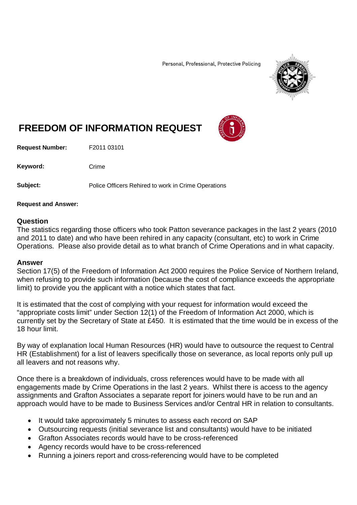Personal, Professional, Protective Policing



## **FREEDOM OF INFORMATION REQUEST**

**Request Number:** F2011 03101

Keyword: Crime

**Subject:** Police Officers Rehired to work in Crime Operations

## **Request and Answer:**

## **Question**

The statistics regarding those officers who took Patton severance packages in the last 2 years (2010 and 2011 to date) and who have been rehired in any capacity (consultant, etc) to work in Crime Operations. Please also provide detail as to what branch of Crime Operations and in what capacity.

## **Answer**

Section 17(5) of the Freedom of Information Act 2000 requires the Police Service of Northern Ireland, when refusing to provide such information (because the cost of compliance exceeds the appropriate limit) to provide you the applicant with a notice which states that fact.

It is estimated that the cost of complying with your request for information would exceed the "appropriate costs limit" under Section 12(1) of the Freedom of Information Act 2000, which is currently set by the Secretary of State at £450. It is estimated that the time would be in excess of the 18 hour limit.

By way of explanation local Human Resources (HR) would have to outsource the request to Central HR (Establishment) for a list of leavers specifically those on severance, as local reports only pull up all leavers and not reasons why.

Once there is a breakdown of individuals, cross references would have to be made with all engagements made by Crime Operations in the last 2 years. Whilst there is access to the agency assignments and Grafton Associates a separate report for joiners would have to be run and an approach would have to be made to Business Services and/or Central HR in relation to consultants.

- It would take approximately 5 minutes to assess each record on SAP
- Outsourcing requests (initial severance list and consultants) would have to be initiated
- Grafton Associates records would have to be cross-referenced
- Agency records would have to be cross-referenced
- Running a joiners report and cross-referencing would have to be completed